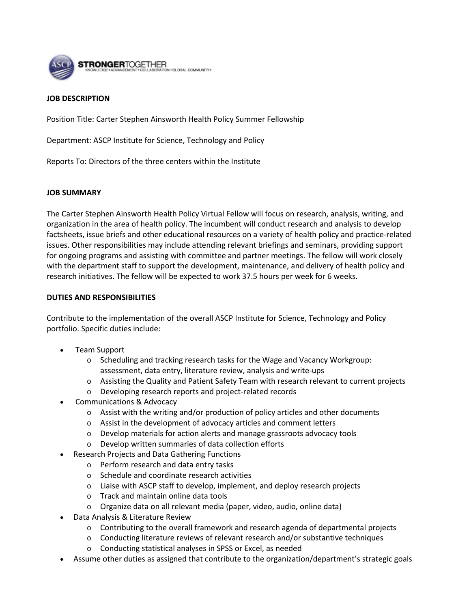

## **JOB DESCRIPTION**

Position Title: Carter Stephen Ainsworth Health Policy Summer Fellowship

Department: ASCP Institute for Science, Technology and Policy

Reports To: Directors of the three centers within the Institute

## **JOB SUMMARY**

The Carter Stephen Ainsworth Health Policy Virtual Fellow will focus on research, analysis, writing, and organization in the area of health policy. The incumbent will conduct research and analysis to develop factsheets, issue briefs and other educational resources on a variety of health policy and practice-related issues. Other responsibilities may include attending relevant briefings and seminars, providing support for ongoing programs and assisting with committee and partner meetings. The fellow will work closely with the department staff to support the development, maintenance, and delivery of health policy and research initiatives. The fellow will be expected to work 37.5 hours per week for 6 weeks.

## **DUTIES AND RESPONSIBILITIES**

Contribute to the implementation of the overall ASCP Institute for Science, Technology and Policy portfolio. Specific duties include:

- Team Support
	- o Scheduling and tracking research tasks for the Wage and Vacancy Workgroup: assessment, data entry, literature review, analysis and write-ups
	- o Assisting the Quality and Patient Safety Team with research relevant to current projects
	- o Developing research reports and project-related records
- Communications & Advocacy
	- $\circ$  Assist with the writing and/or production of policy articles and other documents
	- o Assist in the development of advocacy articles and comment letters
	- o Develop materials for action alerts and manage grassroots advocacy tools
	- o Develop written summaries of data collection efforts
	- Research Projects and Data Gathering Functions
		- o Perform research and data entry tasks
		- o Schedule and coordinate research activities
		- o Liaise with ASCP staff to develop, implement, and deploy research projects
		- o Track and maintain online data tools
		- o Organize data on all relevant media (paper, video, audio, online data)
- Data Analysis & Literature Review
	- $\circ$  Contributing to the overall framework and research agenda of departmental projects
	- o Conducting literature reviews of relevant research and/or substantive techniques
	- o Conducting statistical analyses in SPSS or Excel, as needed
- Assume other duties as assigned that contribute to the organization/department's strategic goals